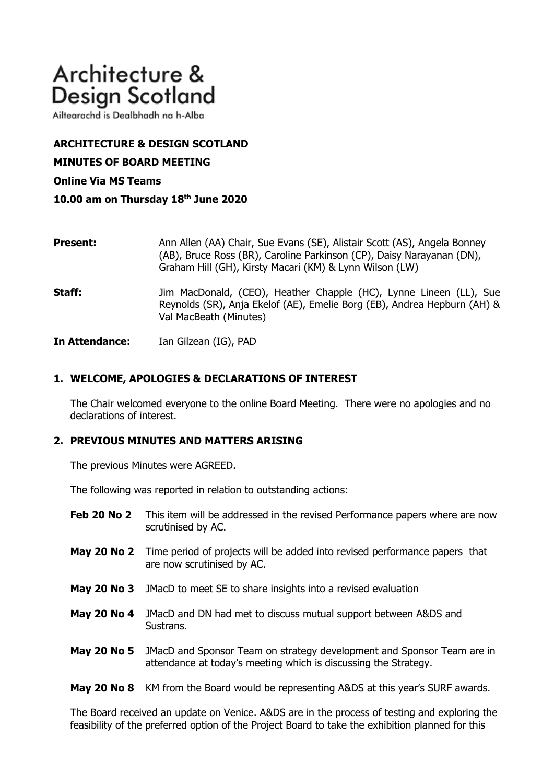# Architecture & **Design Scotland**

Ailtearachd is Dealbhadh na h-Alba

# **ARCHITECTURE & DESIGN SCOTLAND**

**MINUTES OF BOARD MEETING**

## **Online Via MS Teams**

**10.00 am on Thursday 18th June 2020**

| <b>Present:</b> | Ann Allen (AA) Chair, Sue Evans (SE), Alistair Scott (AS), Angela Bonney<br>(AB), Bruce Ross (BR), Caroline Parkinson (CP), Daisy Narayanan (DN),<br>Graham Hill (GH), Kirsty Macari (KM) & Lynn Wilson (LW) |
|-----------------|--------------------------------------------------------------------------------------------------------------------------------------------------------------------------------------------------------------|
| Staff:          | Jim MacDonald, (CEO), Heather Chapple (HC), Lynne Lineen (LL), Sue<br>Reynolds (SR), Anja Ekelof (AE), Emelie Borg (EB), Andrea Hepburn (AH) &<br>Val MacBeath (Minutes)                                     |

**In Attendance:** Ian Gilzean (IG), PAD

# **1. WELCOME, APOLOGIES & DECLARATIONS OF INTEREST**

The Chair welcomed everyone to the online Board Meeting. There were no apologies and no declarations of interest.

## **2. PREVIOUS MINUTES AND MATTERS ARISING**

The previous Minutes were AGREED.

The following was reported in relation to outstanding actions:

- **Feb 20 No 2** This item will be addressed in the revised Performance papers where are now scrutinised by AC.
- **May 20 No 2** Time period of projects will be added into revised performance papers that are now scrutinised by AC.
- **May 20 No 3** JMacD to meet SE to share insights into a revised evaluation
- **May 20 No 4** JMacD and DN had met to discuss mutual support between A&DS and Sustrans.
- **May 20 No 5** JMacD and Sponsor Team on strategy development and Sponsor Team are in attendance at today's meeting which is discussing the Strategy.

**May 20 No 8** KM from the Board would be representing A&DS at this year's SURF awards.

The Board received an update on Venice. A&DS are in the process of testing and exploring the feasibility of the preferred option of the Project Board to take the exhibition planned for this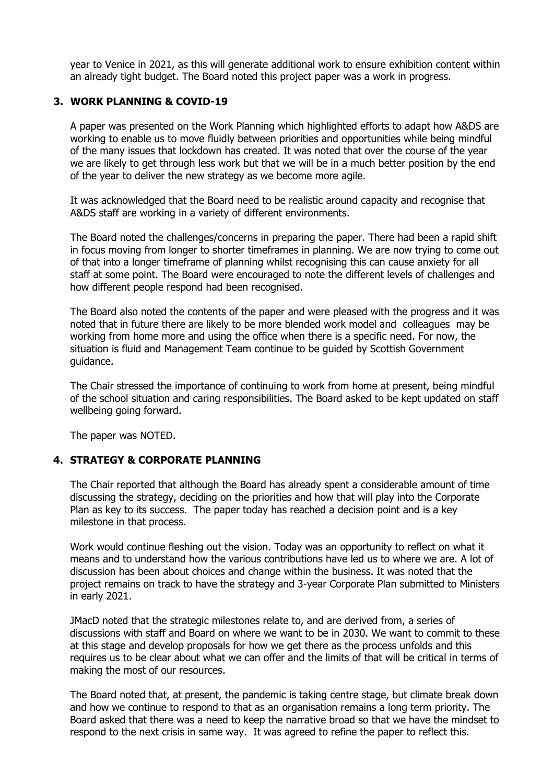year to Venice in 2021, as this will generate additional work to ensure exhibition content within an already tight budget. The Board noted this project paper was a work in progress.

## **3. WORK PLANNING & COVID-19**

A paper was presented on the Work Planning which highlighted efforts to adapt how A&DS are working to enable us to move fluidly between priorities and opportunities while being mindful of the many issues that lockdown has created. It was noted that over the course of the year we are likely to get through less work but that we will be in a much better position by the end of the year to deliver the new strategy as we become more agile.

It was acknowledged that the Board need to be realistic around capacity and recognise that A&DS staff are working in a variety of different environments.

The Board noted the challenges/concerns in preparing the paper. There had been a rapid shift in focus moving from longer to shorter timeframes in planning. We are now trying to come out of that into a longer timeframe of planning whilst recognising this can cause anxiety for all staff at some point. The Board were encouraged to note the different levels of challenges and how different people respond had been recognised.

The Board also noted the contents of the paper and were pleased with the progress and it was noted that in future there are likely to be more blended work model and colleagues may be working from home more and using the office when there is a specific need. For now, the situation is fluid and Management Team continue to be guided by Scottish Government guidance.

The Chair stressed the importance of continuing to work from home at present, being mindful of the school situation and caring responsibilities. The Board asked to be kept updated on staff wellbeing going forward.

The paper was NOTED.

## **4. STRATEGY & CORPORATE PLANNING**

The Chair reported that although the Board has already spent a considerable amount of time discussing the strategy, deciding on the priorities and how that will play into the Corporate Plan as key to its success. The paper today has reached a decision point and is a key milestone in that process.

Work would continue fleshing out the vision. Today was an opportunity to reflect on what it means and to understand how the various contributions have led us to where we are. A lot of discussion has been about choices and change within the business. It was noted that the project remains on track to have the strategy and 3-year Corporate Plan submitted to Ministers in early 2021.

JMacD noted that the strategic milestones relate to, and are derived from, a series of discussions with staff and Board on where we want to be in 2030. We want to commit to these at this stage and develop proposals for how we get there as the process unfolds and this requires us to be clear about what we can offer and the limits of that will be critical in terms of making the most of our resources.

The Board noted that, at present, the pandemic is taking centre stage, but climate break down and how we continue to respond to that as an organisation remains a long term priority. The Board asked that there was a need to keep the narrative broad so that we have the mindset to respond to the next crisis in same way. It was agreed to refine the paper to reflect this.